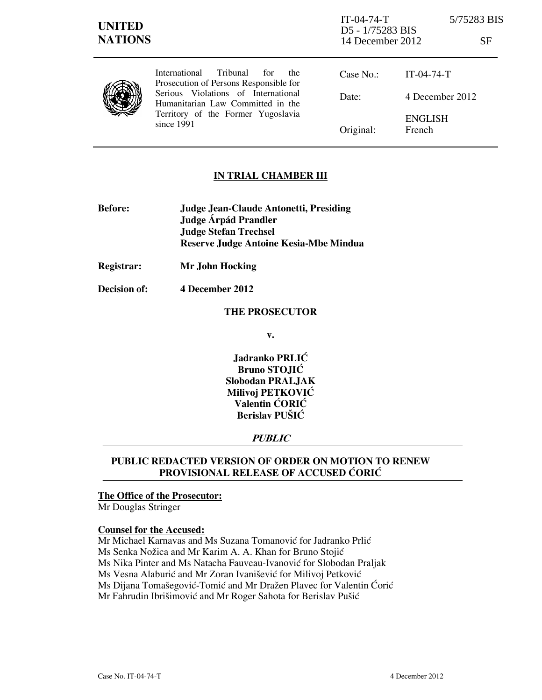## **IN TRIAL CHAMBER III**

- **Before: Judge Jean-Claude Antonetti, Presiding Judge Árpád Prandler Judge Stefan Trechsel Reserve Judge Antoine Kesia-Mbe Mindua**
- **Registrar: Mr John Hocking**
- **Decision of: 4 December 2012**

#### **THE PROSECUTOR**

**v.** 

**Jadranko PRLIĆ Bruno STOJIĆ Slobodan PRALJAK Milivoj PETKOVIĆ Valentin CORIC Berislav PUŠIĆ** 

# **PUBLIC**

## **PUBLIC REDACTED VERSION OF ORDER ON MOTION TO RENEW PROVISIONAL RELEASE OF ACCUSED CORIC**

## **The Office of the Prosecutor:**

Mr Douglas Stringer

#### **Counsel for the Accused:**

Mr Michael Karnavas and Ms Suzana Tomanović for Jadranko Prlić Ms Senka Nožica and Mr Karim A. A. Khan for Bruno Stojić Ms Nika Pinter and Ms Natacha Fauveau-Ivanović for Slobodan Praljak Ms Vesna Alaburić and Mr Zoran Ivanišević for Milivoj Petković Ms Dijana Tomašegović-Tomić and Mr Dražen Plavec for Valentin Ćorić Mr Fahrudin Ibrišimović and Mr Roger Sahota for Berislav Pušić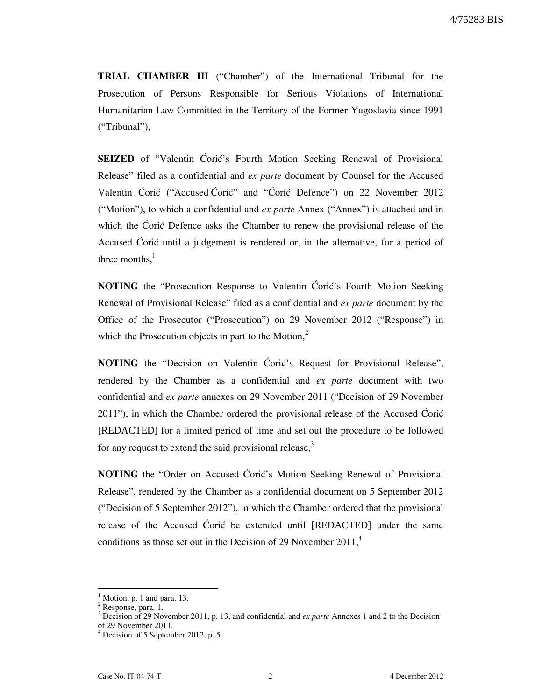**TRIAL CHAMBER III** ("Chamber") of the International Tribunal for the Prosecution of Persons Responsible for Serious Violations of International Humanitarian Law Committed in the Territory of the Former Yugoslavia since 1991 ("Tribunal"),

**SEIZED** of "Valentin Ćorić's Fourth Motion Seeking Renewal of Provisional Release" filed as a confidential and *ex parte* document by Counsel for the Accused Valentin Ćorić ("Accused Ćorić" and "Ćorić Defence") on 22 November 2012 ("Motion"), to which a confidential and *ex parte* Annex ("Annex") is attached and in which the Ćorić Defence asks the Chamber to renew the provisional release of the Accused Ćorić until a judgement is rendered or, in the alternative, for a period of three months. $<sup>1</sup>$ </sup>

**NOTING** the "Prosecution Response to Valentin Ćorić's Fourth Motion Seeking Renewal of Provisional Release" filed as a confidential and *ex parte* document by the Office of the Prosecutor ("Prosecution") on 29 November 2012 ("Response") in which the Prosecution objects in part to the Motion, $2$ 

**NOTING** the "Decision on Valentin Coric's Request for Provisional Release", rendered by the Chamber as a confidential and *ex parte* document with two confidential and *ex parte* annexes on 29 November 2011 ("Decision of 29 November 2011"), in which the Chamber ordered the provisional release of the Accused Ćorić [REDACTED] for a limited period of time and set out the procedure to be followed for any request to extend the said provisional release,<sup>3</sup>

**NOTING** the "Order on Accused Ćorić's Motion Seeking Renewal of Provisional Release", rendered by the Chamber as a confidential document on 5 September 2012 ("Decision of 5 September 2012"), in which the Chamber ordered that the provisional release of the Accused Ćorić be extended until [REDACTED] under the same conditions as those set out in the Decision of 29 November  $2011<sup>4</sup>$ 

 $\overline{a}$ 

<sup>1</sup> Motion, p. 1 and para. 13.

<sup>&</sup>lt;sup>2</sup> Response, para. 1.

<sup>&</sup>lt;sup>3</sup> Decision of 29 November 2011, p. 13, and confidential and *ex parte* Annexes 1 and 2 to the Decision of 29 November 2011.

<sup>4</sup> Decision of 5 September 2012, p. 5.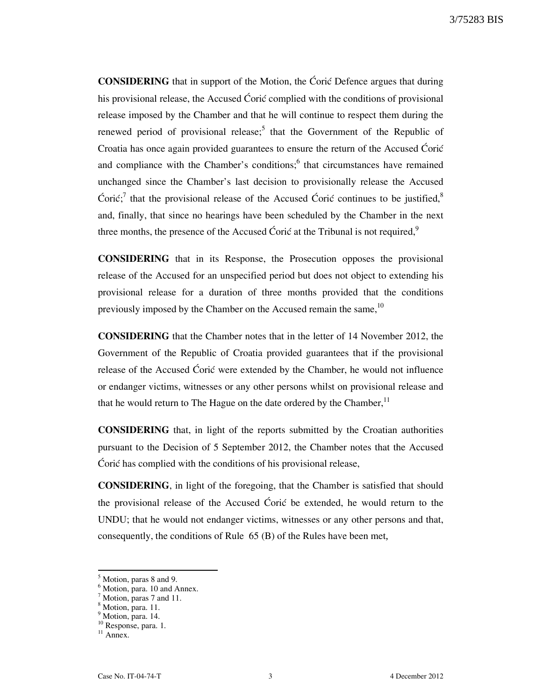**CONSIDERING** that in support of the Motion, the Ćoric Defence argues that during his provisional release, the Accused Ćorić complied with the conditions of provisional release imposed by the Chamber and that he will continue to respect them during the renewed period of provisional release;<sup>5</sup> that the Government of the Republic of Croatia has once again provided guarantees to ensure the return of the Accused Ćorić and compliance with the Chamber's conditions; $<sup>6</sup>$  that circumstances have remained</sup> unchanged since the Chamber's last decision to provisionally release the Accused Ćorić;<sup>7</sup> that the provisional release of the Accused Ćorić continues to be justified,<sup>8</sup> and, finally, that since no hearings have been scheduled by the Chamber in the next three months, the presence of the Accused Ćorić at the Tribunal is not required,  $9^9$ 

**CONSIDERING** that in its Response, the Prosecution opposes the provisional release of the Accused for an unspecified period but does not object to extending his provisional release for a duration of three months provided that the conditions previously imposed by the Chamber on the Accused remain the same,  $^{10}$ 

**CONSIDERING** that the Chamber notes that in the letter of 14 November 2012, the Government of the Republic of Croatia provided guarantees that if the provisional release of the Accused Coric were extended by the Chamber, he would not influence or endanger victims, witnesses or any other persons whilst on provisional release and that he would return to The Hague on the date ordered by the Chamber, $<sup>11</sup>$ </sup>

**CONSIDERING** that, in light of the reports submitted by the Croatian authorities pursuant to the Decision of 5 September 2012, the Chamber notes that the Accused  $\overline{\text{C} }$ ori $\acute{\text{c}}$  has complied with the conditions of his provisional release,

**CONSIDERING**, in light of the foregoing, that the Chamber is satisfied that should the provisional release of the Accused Coric be extended, he would return to the UNDU; that he would not endanger victims, witnesses or any other persons and that, consequently, the conditions of Rule 65 (B) of the Rules have been met,

 $\overline{a}$ 

<sup>5</sup> Motion, paras 8 and 9.

<sup>6</sup> Motion, para. 10 and Annex.

<sup>&</sup>lt;sup>7</sup> Motion, paras 7 and 11.

<sup>8</sup> Motion, para. 11.

<sup>&</sup>lt;sup>9</sup> Motion, para. 14.

<sup>&</sup>lt;sup>10</sup> Response, para. 1.

<sup>&</sup>lt;sup>11</sup> Annex.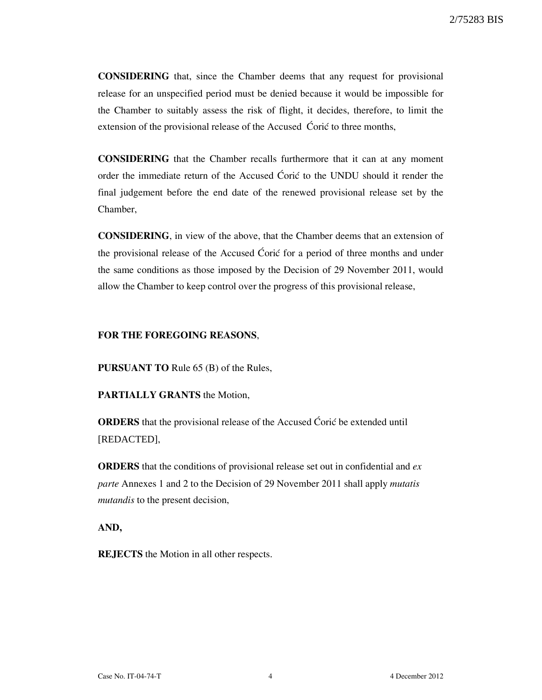**CONSIDERING** that, since the Chamber deems that any request for provisional release for an unspecified period must be denied because it would be impossible for the Chamber to suitably assess the risk of flight, it decides, therefore, to limit the extension of the provisional release of the Accused Ćorić to three months,

**CONSIDERING** that the Chamber recalls furthermore that it can at any moment order the immediate return of the Accused Ćorić to the UNDU should it render the final judgement before the end date of the renewed provisional release set by the Chamber,

**CONSIDERING**, in view of the above, that the Chamber deems that an extension of the provisional release of the Accused Coric for a period of three months and under the same conditions as those imposed by the Decision of 29 November 2011, would allow the Chamber to keep control over the progress of this provisional release,

#### **FOR THE FOREGOING REASONS**,

**PURSUANT TO** Rule 65 (B) of the Rules,

**PARTIALLY GRANTS** the Motion,

**ORDERS** that the provisional release of the Accused Ćorić be extended until [REDACTED],

**ORDERS** that the conditions of provisional release set out in confidential and *ex parte* Annexes 1 and 2 to the Decision of 29 November 2011 shall apply *mutatis mutandis* to the present decision,

**AND,** 

**REJECTS** the Motion in all other respects.